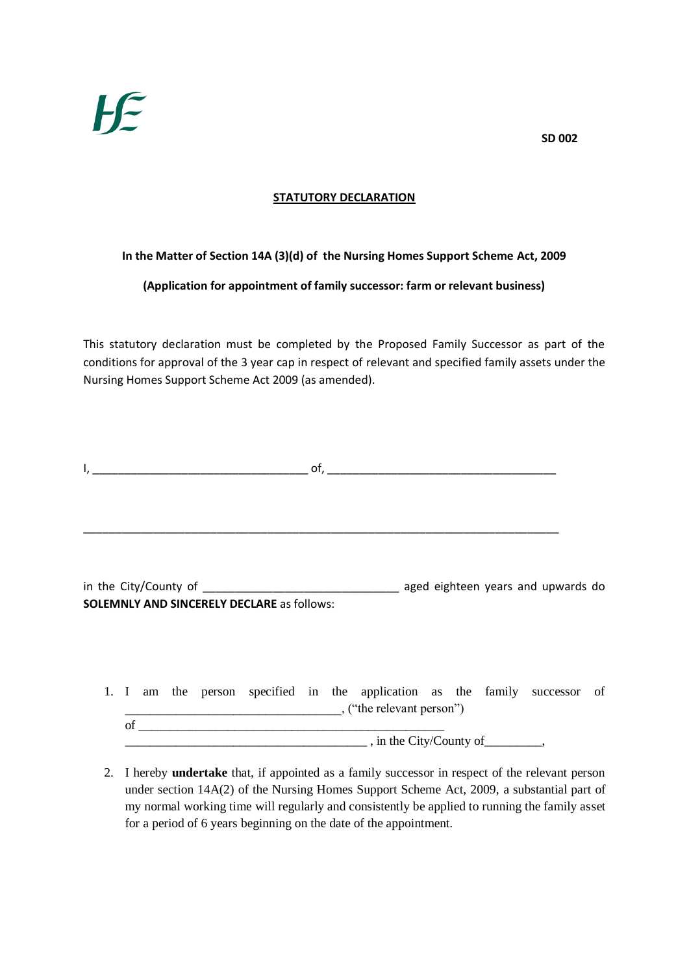## **STATUTORY DECLARATION**

## **In the Matter of Section 14A (3)(d) of the Nursing Homes Support Scheme Act, 2009**

**(Application for appointment of family successor: farm or relevant business)**

This statutory declaration must be completed by the Proposed Family Successor as part of the conditions for approval of the 3 year cap in respect of relevant and specified family assets under the Nursing Homes Support Scheme Act 2009 (as amended).

| <u> 1990 - Johann Barbara, martin a</u>           |                                    |
|---------------------------------------------------|------------------------------------|
|                                                   |                                    |
|                                                   | aged eighteen years and upwards do |
| <b>SOLEMNLY AND SINCERELY DECLARE as follows:</b> |                                    |

|    |  |  |  | 1. I am the person specified in the application as the family successor of |  |  |  |
|----|--|--|--|----------------------------------------------------------------------------|--|--|--|
|    |  |  |  | , ("the relevant person")                                                  |  |  |  |
| Ωt |  |  |  |                                                                            |  |  |  |
|    |  |  |  | , in the City/County of                                                    |  |  |  |

2. I hereby **undertake** that, if appointed as a family successor in respect of the relevant person under section 14A(2) of the Nursing Homes Support Scheme Act, 2009, a substantial part of my normal working time will regularly and consistently be applied to running the family asset for a period of 6 years beginning on the date of the appointment.

**SD 002**